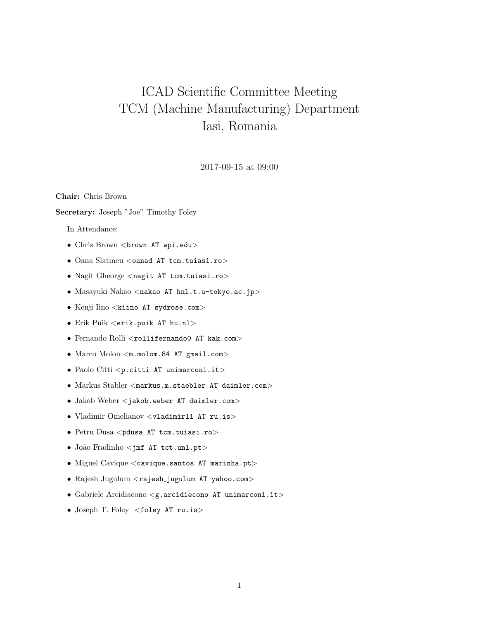# ICAD Scientific Committee Meeting TCM (Machine Manufacturing) Department Iasi, Romania

## 2017-09-15 at 09:00

Chair: Chris Brown

Secretary: Joseph "Joe" Timothy Foley

In Attendance:

- Chris Brown <br/> <br/> AT wpi.edu>
- Oana Slatineu <oanad AT tcm.tuiasi.ro>
- Nagit Gheorge <nagit AT tcm.tuiasi.ro>
- Masayuki Nakao <nakao AT hnl.t.u-tokyo.ac.jp>
- Kenji Iino <kiino AT sydrose.com>
- Erik Puik <erik.puik AT hu.nl>
- Fernando Rolli <rollifernando0 AT kak.com>
- Marco Molon <m.molom.84 AT gmail.com>
- Paolo Citti <p.citti AT unimarconi.it>
- Markus Stabler <markus.m.staebler AT daimler.com>
- Jakob Weber <jakob.weber AT daimler.com>
- Vladimir Omelianov <vladimir11 AT ru.is>
- Petru Dusa <pdusa AT tcm.tuiasi.ro>
- João Fradinho <jmf AT tct.unl.pt>
- Miguel Cavique <cavique.santos AT marinha.pt>
- Rajesh Jugulum <rajesh jugulum AT yahoo.com>
- Gabriele Arcidiacono <g.arcidiecono AT unimarconi.it>
- Joseph T. Foley <foley AT ru.is>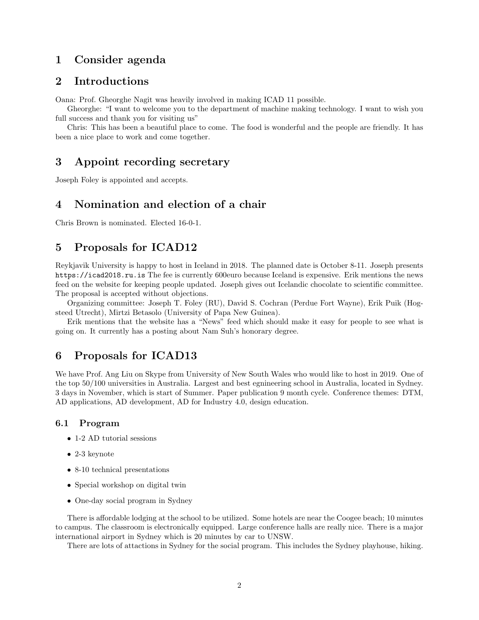# 1 Consider agenda

# 2 Introductions

Oana: Prof. Gheorghe Nagit was heavily involved in making ICAD 11 possible.

Gheorghe: "I want to welcome you to the department of machine making technology. I want to wish you full success and thank you for visiting us"

Chris: This has been a beautiful place to come. The food is wonderful and the people are friendly. It has been a nice place to work and come together.

# 3 Appoint recording secretary

Joseph Foley is appointed and accepts.

# 4 Nomination and election of a chair

Chris Brown is nominated. Elected 16-0-1.

# 5 Proposals for ICAD12

Reykjavik University is happy to host in Iceland in 2018. The planned date is October 8-11. Joseph presents https://icad2018.ru.is The fee is currently 600euro because Iceland is expensive. Erik mentions the news feed on the website for keeping people updated. Joseph gives out Icelandic chocolate to scientific committee. The proposal is accepted without objections.

Organizing committee: Joseph T. Foley (RU), David S. Cochran (Perdue Fort Wayne), Erik Puik (Hogsteed Utrecht), Mirtzi Betasolo (University of Papa New Guinea).

Erik mentions that the website has a "News" feed which should make it easy for people to see what is going on. It currently has a posting about Nam Suh's honorary degree.

## 6 Proposals for ICAD13

We have Prof. Ang Liu on Skype from University of New South Wales who would like to host in 2019. One of the top 50/100 universities in Australia. Largest and best egnineering school in Australia, located in Sydney. 3 days in November, which is start of Summer. Paper publication 9 month cycle. Conference themes: DTM, AD applications, AD development, AD for Industry 4.0, design education.

#### 6.1 Program

- 1-2 AD tutorial sessions
- 2-3 keynote
- 8-10 technical presentations
- Special workshop on digital twin
- One-day social program in Sydney

There is affordable lodging at the school to be utilized. Some hotels are near the Coogee beach; 10 minutes to campus. The classroom is electronically equipped. Large conference halls are really nice. There is a major international airport in Sydney which is 20 minutes by car to UNSW.

There are lots of attactions in Sydney for the social program. This includes the Sydney playhouse, hiking.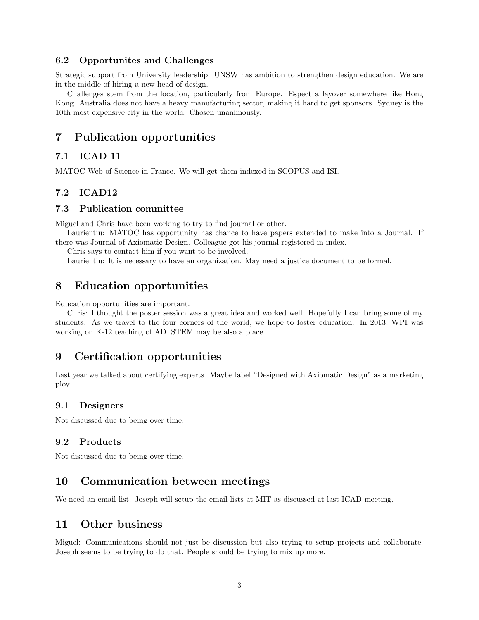### 6.2 Opportunites and Challenges

Strategic support from University leadership. UNSW has ambition to strengthen design education. We are in the middle of hiring a new head of design.

Challenges stem from the location, particularly from Europe. Espect a layover somewhere like Hong Kong. Australia does not have a heavy manufacturing sector, making it hard to get sponsors. Sydney is the 10th most expensive city in the world. Chosen unanimously.

# 7 Publication opportunities

## 7.1 ICAD 11

MATOC Web of Science in France. We will get them indexed in SCOPUS and ISI.

### 7.2 ICAD12

#### 7.3 Publication committee

Miguel and Chris have been working to try to find journal or other.

Laurientiu: MATOC has opportunity has chance to have papers extended to make into a Journal. If there was Journal of Axiomatic Design. Colleague got his journal registered in index.

Chris says to contact him if you want to be involved.

Laurientiu: It is necessary to have an organization. May need a justice document to be formal.

## 8 Education opportunities

Education opportunities are important.

Chris: I thought the poster session was a great idea and worked well. Hopefully I can bring some of my students. As we travel to the four corners of the world, we hope to foster education. In 2013, WPI was working on K-12 teaching of AD. STEM may be also a place.

## 9 Certification opportunities

Last year we talked about certifying experts. Maybe label "Designed with Axiomatic Design" as a marketing ploy.

#### 9.1 Designers

Not discussed due to being over time.

#### 9.2 Products

Not discussed due to being over time.

# 10 Communication between meetings

We need an email list. Joseph will setup the email lists at MIT as discussed at last ICAD meeting.

# 11 Other business

Miguel: Communications should not just be discussion but also trying to setup projects and collaborate. Joseph seems to be trying to do that. People should be trying to mix up more.